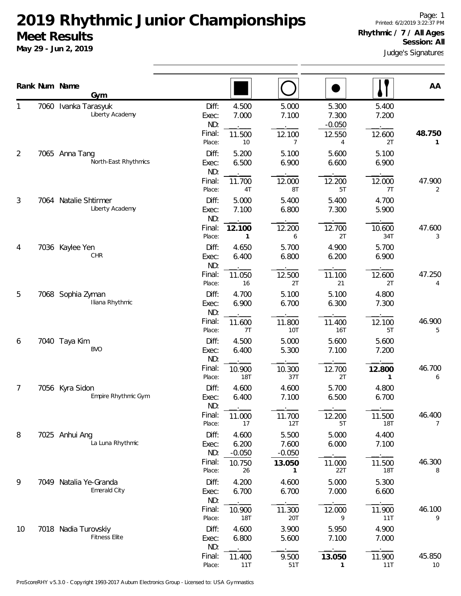**May 29 - Jun 2, 2019**

Judge's Signatures

|                |      | Rank Num Name<br>Gym                         |                                                     |                                         |                                         |                                           |                                           | AA                       |
|----------------|------|----------------------------------------------|-----------------------------------------------------|-----------------------------------------|-----------------------------------------|-------------------------------------------|-------------------------------------------|--------------------------|
| 1              | 7060 | Ivanka Tarasyuk<br>Liberty Academy           | Diff:<br>Exec:<br>ND:<br>Final:<br>Place:           | 4.500<br>7.000<br>11.500<br>10          | 5.000<br>7.100<br>12.100<br>7           | 5.300<br>7.300<br>$-0.050$<br>12.550<br>4 | 5.400<br>7.200<br>12.600<br>2T            | 48.750<br>1              |
| $\overline{2}$ |      | 7065 Anna Tang<br>North-East Rhythmics       | Diff:<br>Exec:<br>ND:<br>Final:                     | 5.200<br>6.500<br>11.700                | 5.100<br>6.900<br>12.000                | 5.600<br>6.600<br>12.200                  | 5.100<br>6.900<br>12.000                  | 47.900                   |
| 3              |      | 7064 Natalie Shtirmer<br>Liberty Academy     | Place:<br>Diff:<br>Exec:<br>ND:                     | 4T<br>5.000<br>7.100                    | 8T<br>5.400<br>6.800                    | 5T<br>5.400<br>7.300                      | 7T<br>4.700<br>5.900                      | $\overline{2}$           |
| 4              |      | 7036 Kaylee Yen<br>CHR                       | Final:<br>Place:<br>Diff:<br>Exec:<br>ND:<br>Final: | 12.100<br>1<br>4.650<br>6.400<br>11.050 | 12.200<br>6<br>5.700<br>6.800<br>12.500 | 12.700<br>2T<br>4.900<br>6.200<br>11.100  | 10.600<br>34T<br>5.700<br>6.900<br>12.600 | 47.600<br>3<br>47.250    |
| 5              |      | 7068 Sophia Zyman<br>Iliana Rhythmic         | Place:<br>Diff:<br>Exec:<br>ND:                     | 16<br>4.700<br>6.900                    | 2T<br>5.100<br>6.700                    | 21<br>5.100<br>6.300                      | 2T<br>4.800<br>7.300                      | 4                        |
| 6              |      | 7040 Taya Kim<br><b>BVO</b>                  | Final:<br>Place:<br>Diff:<br>Exec:<br>ND:           | 11.600<br>7T<br>4.500<br>6.400          | 11.800<br>10T<br>5.000<br>5.300         | 11.400<br>16T<br>5.600<br>7.100           | 12.100<br>5T<br>5.600<br>7.200            | 46.900<br>5              |
| 7              |      | 7056 Kyra Sidon<br>Empire Rhythmic Gym       | Final:<br>Place:<br>Diff:<br>Exec:<br>ND:           | 10.900<br>18T<br>4.600<br>6.400         | 10.300<br>37T<br>4.600<br>7.100         | 12.700<br>2T<br>5.700<br>6.500            | 12.800<br>1<br>4.800<br>6.700             | 46.700<br>6              |
| 8              |      | 7025 Anhui Ang<br>La Luna Rhythmic           | Final:<br>Place:<br>Diff:<br>Exec:                  | 11.000<br>17<br>4.600<br>6.200          | 11.700<br>12T<br>5.500<br>7.600         | 12.200<br>5T<br>5.000<br>6.000            | 11.500<br>18T<br>4.400<br>7.100           | 46.400<br>$\overline{7}$ |
|                |      |                                              | ND:<br>Final:<br>Place:                             | $-0.050$<br>10.750<br>26                | $-0.050$<br>13.050<br>1.                | 11.000<br>22T                             | 11.500<br>18T                             | 46.300<br>8              |
| 9              |      | 7049 Natalia Ye-Granda<br>Emerald City       | Diff:<br>Exec:<br>ND:<br>Final:<br>Place:           | 4.200<br>6.700<br>10.900<br>18T         | 4.600<br>6.700<br>11.300<br>20T         | 5.000<br>7.000<br>12.000<br>9             | 5.300<br>6.600<br>11.900<br>11T           | 46.100<br>9              |
| 10             |      | 7018 Nadia Turovskiy<br><b>Fitness Elite</b> | Diff:<br>Exec:<br>ND:<br>Final:<br>Place:           | 4.600<br>6.800<br>11.400<br>11T         | 3.900<br>5.600<br>9.500<br>51T          | 5.950<br>7.100<br>13.050<br>$\mathbf{1}$  | 4.900<br>7.000<br>11.900<br>11T           | 45.850<br>10             |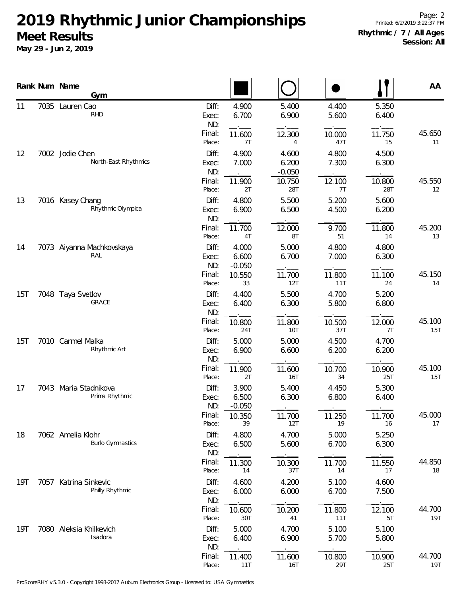|     |      | Rank Num Name<br>Gym                         |                       |                            |                            |                |                | AA                          |
|-----|------|----------------------------------------------|-----------------------|----------------------------|----------------------------|----------------|----------------|-----------------------------|
| 11  | 7035 | Lauren Cao<br><b>RHD</b>                     | Diff:<br>Exec:<br>ND: | 4.900<br>6.700             | 5.400<br>6.900             | 4.400<br>5.600 | 5.350<br>6.400 |                             |
|     |      |                                              | Final:<br>Place:      | 11.600<br>7T               | 12.300<br>4                | 10.000<br>47T  | 11.750<br>15   | 45.650<br>11                |
| 12  |      | 7002 Jodie Chen<br>North-East Rhythmics      | Diff:<br>Exec:<br>ND: | 4.900<br>7.000             | 4.600<br>6.200<br>$-0.050$ | 4.800<br>7.300 | 4.500<br>6.300 |                             |
|     |      |                                              | Final:<br>Place:      | 11.900<br>2T               | 10.750<br>28T              | 12.100<br>7T   | 10.800<br>28T  | 45.550<br>$12 \overline{ }$ |
| 13  |      | 7016 Kasey Chang<br>Rhythmic Olympica        | Diff:<br>Exec:<br>ND: | 4.800<br>6.900             | 5.500<br>6.500             | 5.200<br>4.500 | 5.600<br>6.200 |                             |
|     |      |                                              | Final:<br>Place:      | 11.700<br>4T               | 12.000<br>8T               | 9.700<br>51    | 11.800<br>14   | 45.200<br>13                |
| 14  |      | 7073 Aiyanna Machkovskaya<br>RAL             | Diff:<br>Exec:<br>ND: | 4.000<br>6.600<br>$-0.050$ | 5.000<br>6.700             | 4.800<br>7.000 | 4.800<br>6.300 |                             |
|     |      |                                              | Final:<br>Place:      | 10.550<br>33               | 11.700<br>12T              | 11.800<br>11T  | 11.100<br>24   | 45.150<br>14                |
| 15T |      | 7048 Taya Svetlov<br>GRACE                   | Diff:<br>Exec:<br>ND: | 4.400<br>6.400             | 5.500<br>6.300             | 4.700<br>5.800 | 5.200<br>6.800 |                             |
|     |      |                                              | Final:<br>Place:      | 10.800<br>24T              | 11.800<br>10T              | 10.500<br>37T  | 12.000<br>7T   | 45.100<br>15T               |
| 15T |      | 7010 Carmel Malka<br>Rhythmic Art            | Diff:<br>Exec:<br>ND: | 5.000<br>6.900             | 5.000<br>6.600             | 4.500<br>6.200 | 4.700<br>6.200 |                             |
|     |      |                                              | Final:<br>Place:      | 11.900<br>2T               | 11.600<br><b>16T</b>       | 10.700<br>34   | 10.900<br>25T  | 45.100<br>15T               |
| 17  |      | 7043 Maria Stadnikova<br>Prima Rhythmic      | Diff:<br>Exec:<br>ND: | 3.900<br>6.500<br>$-0.050$ | 5.400<br>6.300             | 4.450<br>6.800 | 5.300<br>6.400 |                             |
|     |      |                                              | Final:<br>Place:      | 10.350<br>39               | 11.700<br>12T              | 11.250<br>19   | 11.700<br>16   | 45.000<br>17                |
| 18  |      | 7062 Amelia Klohr<br><b>Burlo Gymnastics</b> | Diff:<br>Exec:<br>ND: | 4.800<br>6.500             | 4.700<br>5.600             | 5.000<br>6.700 | 5.250<br>6.300 |                             |
|     |      |                                              | Final:<br>Place:      | 11.300<br>14               | 10.300<br>37T              | 11.700<br>14   | 11.550<br>17   | 44.850<br>18                |
| 19T | 7057 | Katrina Sinkevic<br>Philly Rhythmic          | Diff:<br>Exec:<br>ND: | 4.600<br>6.000             | 4.200<br>6.000             | 5.100<br>6.700 | 4.600<br>7.500 |                             |
|     |      |                                              | Final:<br>Place:      | 10.600<br>30T              | 10.200<br>41               | 11.800<br>11T  | 12.100<br>5T   | 44.700<br>19T               |
| 19T |      | 7080 Aleksia Khilkevich<br>Isadora           | Diff:<br>Exec:<br>ND: | 5.000<br>6.400             | 4.700<br>6.900             | 5.100<br>5.700 | 5.100<br>5.800 |                             |
|     |      |                                              | Final:<br>Place:      | 11.400<br>11T              | 11.600<br><b>16T</b>       | 10.800<br>29T  | 10.900<br>25T  | 44.700<br>19T               |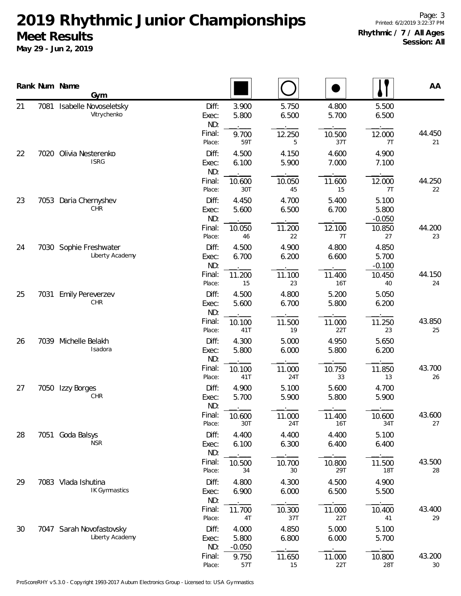|    |      | Rank Num Name<br>Gym                        |                       |                            |                |                |                            | AA           |
|----|------|---------------------------------------------|-----------------------|----------------------------|----------------|----------------|----------------------------|--------------|
| 21 | 7081 | Isabelle Novoseletsky<br>Vitrychenko        | Diff:<br>Exec:<br>ND: | 3.900<br>5.800             | 5.750<br>6.500 | 4.800<br>5.700 | 5.500<br>6.500             |              |
|    |      |                                             | Final:<br>Place:      | 9.700<br>59T               | 12.250<br>5    | 10.500<br>37T  | 12.000<br>7T               | 44.450<br>21 |
| 22 | 7020 | Olivia Nesterenko<br><b>ISRG</b>            | Diff:<br>Exec:<br>ND: | 4.500<br>6.100             | 4.150<br>5.900 | 4.600<br>7.000 | 4.900<br>7.100             |              |
|    |      |                                             | Final:<br>Place:      | 10.600<br>30T              | 10.050<br>45   | 11.600<br>15   | 12.000<br>7T               | 44.250<br>22 |
| 23 | 7053 | Daria Chernyshev<br>CHR                     | Diff:<br>Exec:<br>ND: | 4.450<br>5.600             | 4.700<br>6.500 | 5.400<br>6.700 | 5.100<br>5.800<br>$-0.050$ |              |
|    |      |                                             | Final:<br>Place:      | 10.050<br>46               | 11.200<br>22   | 12.100<br>7T   | 10.850<br>27               | 44.200<br>23 |
| 24 |      | 7030 Sophie Freshwater<br>Liberty Academy   | Diff:<br>Exec:<br>ND: | 4.500<br>6.700             | 4.900<br>6.200 | 4.800<br>6.600 | 4.850<br>5.700<br>$-0.100$ |              |
|    |      |                                             | Final:<br>Place:      | 11.200<br>15               | 11.100<br>23   | 11.400<br>16T  | 10.450<br>40               | 44.150<br>24 |
| 25 |      | 7031 Emily Pereverzev<br>CHR                | Diff:<br>Exec:<br>ND: | 4.500<br>5.600             | 4.800<br>6.700 | 5.200<br>5.800 | 5.050<br>6.200             |              |
|    |      |                                             | Final:<br>Place:      | 10.100<br>41T              | 11.500<br>19   | 11.000<br>22T  | 11.250<br>23               | 43.850<br>25 |
| 26 | 7039 | Michelle Belakh<br>Isadora                  | Diff:<br>Exec:<br>ND: | 4.300<br>5.800             | 5.000<br>6.000 | 4.950<br>5.800 | 5.650<br>6.200             |              |
|    |      |                                             | Final:<br>Place:      | 10.100<br>41T              | 11.000<br>24T  | 10.750<br>33   | 11.850<br>13               | 43.700<br>26 |
| 27 |      | 7050 Izzy Borges<br>CHR                     | Diff:<br>Exec:<br>ND: | 4.900<br>5.700             | 5.100<br>5.900 | 5.600<br>5.800 | 4.700<br>5.900             |              |
|    |      |                                             | Final:<br>Place:      | 10.600<br>30T              | 11.000<br>24T  | 11.400<br>16T  | 10.600<br>34T              | 43.600<br>27 |
| 28 | 7051 | Goda Balsys<br><b>NSR</b>                   | Diff:<br>Exec:<br>ND: | 4.400<br>6.100             | 4.400<br>6.300 | 4.400<br>6.400 | 5.100<br>6.400             |              |
|    |      |                                             | Final:<br>Place:      | 10.500<br>34               | 10.700<br>30   | 10.800<br>29T  | 11.500<br><b>18T</b>       | 43.500<br>28 |
| 29 |      | 7083 Vlada Ishutina<br>IK Gymnastics        | Diff:<br>Exec:<br>ND: | 4.800<br>6.900             | 4.300<br>6.000 | 4.500<br>6.500 | 4.900<br>5.500             |              |
|    |      |                                             | Final:<br>Place:      | 11.700<br>4T               | 10.300<br>37T  | 11.000<br>22T  | 10.400<br>41               | 43.400<br>29 |
| 30 |      | 7047 Sarah Novofastovsky<br>Liberty Academy | Diff:<br>Exec:<br>ND: | 4.000<br>5.800<br>$-0.050$ | 4.850<br>6.800 | 5.000<br>6.000 | 5.100<br>5.700             |              |
|    |      |                                             | Final:<br>Place:      | 9.750<br>57T               | 11.650<br>15   | 11.000<br>22T  | 10.800<br>28T              | 43.200<br>30 |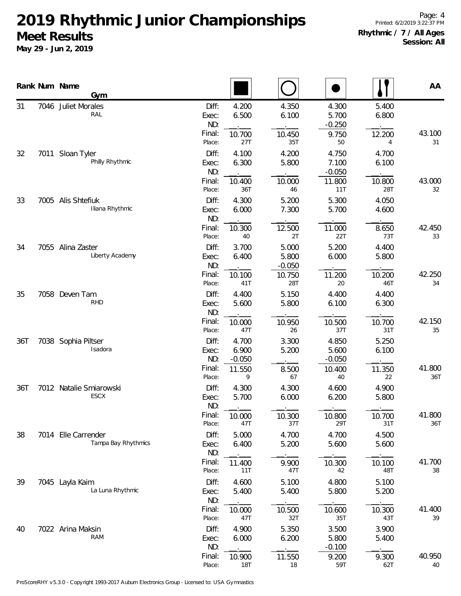|     | Rank Num Name<br>Gym                       |                                                                      |                                  |                                     |                          | AA            |
|-----|--------------------------------------------|----------------------------------------------------------------------|----------------------------------|-------------------------------------|--------------------------|---------------|
| 31  | 7046 Juliet Morales<br>RAL                 | Diff:<br>4.200<br>6.500<br>Exec:<br>ND:<br>Final:<br>10.700          | 4.350<br>6.100<br>10.450         | 4.300<br>5.700<br>$-0.250$<br>9.750 | 5.400<br>6.800<br>12.200 | 43.100        |
| 32  | 7011 Sloan Tyler<br>Philly Rhythmic        | 27T<br>Place:<br>Diff:<br>4.100<br>6.300<br>Exec:<br>ND:             | 35T<br>4.200<br>5.800            | 50<br>4.750<br>7.100<br>$-0.050$    | 4<br>4.700<br>6.100      | 31            |
| 33  | 7005 Alis Shtefiuk                         | Final:<br>10.400<br>36T<br>Place:<br>Diff:<br>4.300                  | 10.000<br>46<br>5.200            | 11.800<br>11T<br>5.300              | 10.800<br>28T<br>4.050   | 43.000<br>32  |
|     | Iliana Rhythmic                            | 6.000<br>Exec:<br>ND:<br>Final:<br>10.300                            | 7.300<br>12.500                  | 5.700<br>11.000                     | 4.600<br>8.650           | 42.450        |
| 34  | 7055 Alina Zaster<br>Liberty Academy       | 40<br>Place:<br>Diff:<br>3.700<br>6.400<br>Exec:<br>ND:              | 2T<br>5.000<br>5.800<br>$-0.050$ | 22T<br>5.200<br>6.000               | 73T<br>4.400<br>5.800    | 33            |
|     |                                            | Final:<br>10.100<br>41T<br>Place:                                    | 10.750<br>28T                    | 11.200<br>20                        | 10.200<br>46T            | 42.250<br>34  |
| 35  | 7058 Deven Tam<br><b>RHD</b>               | Diff:<br>4.400<br>5.600<br>Exec:<br>ND:<br>Final:<br>10.000          | 5.150<br>5.800<br>10.950         | 4.400<br>6.100<br>10.500            | 4.400<br>6.300<br>10.700 | 42.150        |
| 36T | 7038 Sophia Piltser<br>Isadora             | Place:<br>47T<br>Diff:<br>4.700<br>6.900<br>Exec:<br>ND:<br>$-0.050$ | 26<br>3.300<br>5.200             | 37T<br>4.850<br>5.600<br>$-0.050$   | 31T<br>5.250<br>6.100    | 35            |
| 36T | 7012 Natalie Smiarowski                    | Final:<br>11.550<br>Place:<br>9<br>Diff:                             | 8.500<br>67<br>4.300             | 10.400<br>40<br>4.600               | 11.350<br>22<br>4.900    | 41.800<br>36T |
|     | ESCX                                       | 4.300<br>5.700<br>Exec:<br>ND:                                       | 6.000                            | 6.200                               | 5.800                    |               |
|     |                                            | Final:<br>10.000<br>47T<br>Place:                                    | 10.300<br>37T                    | 10.800<br>29T                       | 10.700<br>31T            | 41.800<br>36T |
| 38  | 7014 Elle Carrender<br>Tampa Bay Rhythmics | Diff:<br>5.000<br>6.400<br>Exec:<br>ND:<br>Final:                    | 4.700<br>5.200                   | 4.700<br>5.600                      | 4.500<br>5.600           | 41.700        |
| 39  |                                            | 11.400<br>11T<br>Place:<br>Diff:                                     | 9.900<br>47T                     | 10.300<br>42                        | 10.100<br>48T            | 38            |
|     | 7045 Layla Kaim<br>La Luna Rhythmic        | 4.600<br>5.400<br>Exec:<br>ND:<br>Final:<br>10.000                   | 5.100<br>5.400<br>10.500         | 4.800<br>5.800<br>10.600            | 5.100<br>5.200<br>10.300 | 41.400        |
| 40  | 7022 Arina Maksin<br><b>RAM</b>            | Place:<br>47T<br>4.900<br>Diff:<br>6.000<br>Exec:<br>ND:             | 32T<br>5.350<br>6.200            | 35T<br>3.500<br>5.800<br>$-0.100$   | 43T<br>3.900<br>5.400    | 39            |
|     |                                            | Final:<br>10.900<br>Place:<br>18T                                    | 11.550<br>18                     | 9.200<br>59T                        | 9.300<br>62T             | 40.950<br>40  |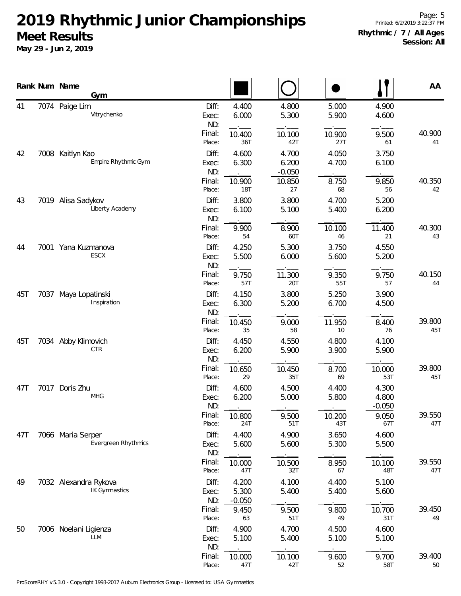|     |      | Rank Num Name<br>Gym                     |                       |                            |                            |                |                            | AA            |
|-----|------|------------------------------------------|-----------------------|----------------------------|----------------------------|----------------|----------------------------|---------------|
| 41  |      | 7074 Paige Lim<br>Vitrychenko            | Diff:<br>Exec:<br>ND: | 4.400<br>6.000             | 4.800<br>5.300             | 5.000<br>5.900 | 4.900<br>4.600             |               |
|     |      |                                          | Final:<br>Place:      | 10.400<br>36T              | 10.100<br>42T              | 10.900<br>27T  | 9.500<br>61                | 40.900<br>41  |
| 42  | 7008 | Kaitlyn Kao<br>Empire Rhythmic Gym       | Diff:<br>Exec:<br>ND: | 4.600<br>6.300             | 4.700<br>6.200<br>$-0.050$ | 4.050<br>4.700 | 3.750<br>6.100             |               |
|     |      |                                          | Final:<br>Place:      | 10.900<br><b>18T</b>       | 10.850<br>27               | 8.750<br>68    | 9.850<br>56                | 40.350<br>42  |
| 43  |      | 7019 Alisa Sadykov<br>Liberty Academy    | Diff:<br>Exec:<br>ND: | 3.800<br>6.100             | 3.800<br>5.100             | 4.700<br>5.400 | 5.200<br>6.200             |               |
|     |      |                                          | Final:<br>Place:      | 9.900<br>54                | 8.900<br>60T               | 10.100<br>46   | 11.400<br>21               | 40.300<br>43  |
| 44  |      | 7001 Yana Kuzmanova<br><b>ESCX</b>       | Diff:<br>Exec:<br>ND: | 4.250<br>5.500             | 5.300<br>6.000             | 3.750<br>5.600 | 4.550<br>5.200             |               |
|     |      |                                          | Final:<br>Place:      | 9.750<br>57T               | 11.300<br>20T              | 9.350<br>55T   | 9.750<br>57                | 40.150<br>44  |
| 45T | 7037 | Maya Lopatinski<br>Inspiration           | Diff:<br>Exec:<br>ND: | 4.150<br>6.300             | 3.800<br>5.200             | 5.250<br>6.700 | 3.900<br>4.500             |               |
|     |      |                                          | Final:<br>Place:      | 10.450<br>35               | 9.000<br>58                | 11.950<br>10   | 8.400<br>76                | 39.800<br>45T |
| 45T |      | 7034 Abby Klimovich<br><b>CTR</b>        | Diff:<br>Exec:<br>ND: | 4.450<br>6.200             | 4.550<br>5.900             | 4.800<br>3.900 | 4.100<br>5.900             |               |
|     |      |                                          | Final:<br>Place:      | 10.650<br>29               | 10.450<br>35T              | 8.700<br>69    | 10.000<br>53T              | 39.800<br>45T |
| 47T |      | 7017 Doris Zhu<br><b>MHG</b>             | Diff:<br>Exec:<br>ND: | 4.600<br>6.200             | 4.500<br>5.000             | 4.400<br>5.800 | 4.300<br>4.800<br>$-0.050$ |               |
|     |      |                                          | Final:<br>Place:      | 10.800<br>24T              | 9.500<br>51T               | 10.200<br>43T  | 9.050<br>67T               | 39.550<br>47T |
| 47T |      | 7066 Maria Serper<br>Evergreen Rhythmics | Diff:<br>Exec:<br>ND: | 4.400<br>5.600             | 4.900<br>5.600             | 3.650<br>5.300 | 4.600<br>5.500             |               |
|     |      |                                          | Final:<br>Place:      | 10.000<br>47T              | 10.500<br>32T              | 8.950<br>67    | 10.100<br>48T              | 39.550<br>47T |
| 49  |      | 7032 Alexandra Rykova<br>IK Gymnastics   | Diff:<br>Exec:<br>ND: | 4.200<br>5.300<br>$-0.050$ | 4.100<br>5.400             | 4.400<br>5.400 | 5.100<br>5.600             |               |
|     |      |                                          | Final:<br>Place:      | 9.450<br>63                | 9.500<br>51T               | 9.800<br>49    | 10.700<br>31T              | 39.450<br>49  |
| 50  |      | 7006 Noelani Ligienza<br><b>LLM</b>      | Diff:<br>Exec:<br>ND: | 4.900<br>5.100             | 4.700<br>5.400             | 4.500<br>5.100 | 4.600<br>5.100             |               |
|     |      |                                          | Final:<br>Place:      | 10.000<br>47T              | 10.100<br>42T              | 9.600<br>52    | 9.700<br>58T               | 39.400<br>50  |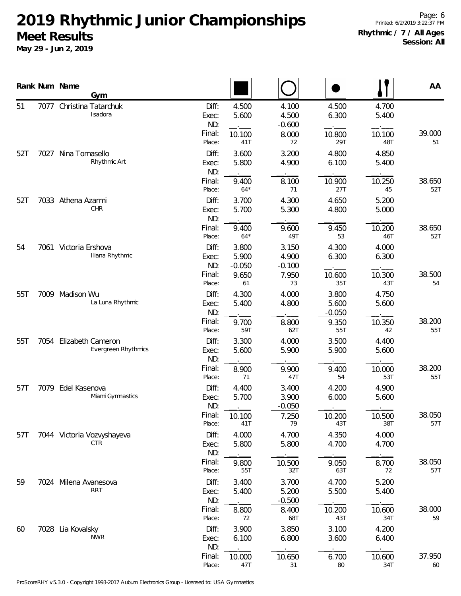|     |      | Rank Num Name         | Gym                                      |                       |                            |                            |                            |                | AA            |
|-----|------|-----------------------|------------------------------------------|-----------------------|----------------------------|----------------------------|----------------------------|----------------|---------------|
| 51  | 7077 |                       | Christina Tatarchuk<br>Isadora           | Diff:<br>Exec:<br>ND: | 4.500<br>5.600             | 4.100<br>4.500<br>$-0.600$ | 4.500<br>6.300             | 4.700<br>5.400 |               |
|     |      |                       |                                          | Final:<br>Place:      | 10.100<br>41T              | 8.000<br>72                | 10.800<br>29T              | 10.100<br>48T  | 39.000<br>51  |
| 52T | 7027 | Nina Tomasello        | Rhythmic Art                             | Diff:<br>Exec:<br>ND: | 3.600<br>5.800             | 3.200<br>4.900             | 4.800<br>6.100             | 4.850<br>5.400 |               |
|     |      |                       |                                          | Final:<br>Place:      | 9.400<br>$64*$             | 8.100<br>71                | 10.900<br>27T              | 10.250<br>45   | 38.650<br>52T |
| 52T |      | 7033 Athena Azarmi    | CHR                                      | Diff:<br>Exec:<br>ND: | 3.700<br>5.700             | 4.300<br>5.300             | 4.650<br>4.800             | 5.200<br>5.000 |               |
|     |      |                       |                                          | Final:<br>Place:      | 9.400<br>$64*$             | 9.600<br>49T               | 9.450<br>53                | 10.200<br>46T  | 38.650<br>52T |
| 54  |      | 7061 Victoria Ershova | Iliana Rhythmic                          | Diff:<br>Exec:<br>ND: | 3.800<br>5.900<br>$-0.050$ | 3.150<br>4.900<br>$-0.100$ | 4.300<br>6.300             | 4.000<br>6.300 |               |
|     |      |                       |                                          | Final:<br>Place:      | 9.650<br>61                | 7.950<br>73                | 10.600<br>35T              | 10.300<br>43T  | 38.500<br>54  |
| 55T | 7009 | Madison Wu            | La Luna Rhythmic                         | Diff:<br>Exec:<br>ND: | 4.300<br>5.400             | 4.000<br>4.800             | 3.800<br>5.600<br>$-0.050$ | 4.750<br>5.600 |               |
|     |      |                       |                                          | Final:<br>Place:      | 9.700<br>59T               | 8.800<br>62T               | 9.350<br>55T               | 10.350<br>42   | 38.200<br>55T |
| 55T | 7054 |                       | Elizabeth Cameron<br>Evergreen Rhythmics | Diff:<br>Exec:<br>ND: | 3.300<br>5.600             | 4.000<br>5.900             | 3.500<br>5.900             | 4.400<br>5.600 |               |
|     |      |                       |                                          | Final:<br>Place:      | 8.900<br>71                | 9.900<br>47T               | 9.400<br>54                | 10.000<br>53T  | 38.200<br>55T |
| 57T | 7079 | Edel Kasenova         | Miami Gymnastics                         | Diff:<br>Exec:<br>ND: | 4.400<br>5.700             | 3.400<br>3.900<br>$-0.050$ | 4.200<br>6.000             | 4.900<br>5.600 |               |
|     |      |                       |                                          | Final:<br>Place:      | 10.100<br>41T              | 7.250<br>79                | 10.200<br>43T              | 10.500<br>38T  | 38.050<br>57T |
| 57T |      |                       | 7044 Victoria Vozvyshayeva<br>CTR        | Diff:<br>Exec:<br>ND: | 4.000<br>5.800             | 4.700<br>5.800             | 4.350<br>4.700             | 4.000<br>4.700 |               |
|     |      |                       |                                          | Final:<br>Place:      | 9.800<br>55T               | 10.500<br>32T              | 9.050<br>63T               | 8.700<br>72    | 38.050<br>57T |
| 59  |      | 7024 Milena Avanesova | <b>RRT</b>                               | Diff:<br>Exec:<br>ND: | 3.400<br>5.400             | 3.700<br>5.200<br>$-0.500$ | 4.700<br>5.500             | 5.200<br>5.400 |               |
|     |      |                       |                                          | Final:<br>Place:      | 8.800<br>72                | 8.400<br>68T               | 10.200<br>43T              | 10.600<br>34T  | 38.000<br>59  |
| 60  |      | 7028 Lia Kovalsky     | <b>NWR</b>                               | Diff:<br>Exec:<br>ND: | 3.900<br>6.100             | 3.850<br>6.800             | 3.100<br>3.600             | 4.200<br>6.400 |               |
|     |      |                       |                                          | Final:<br>Place:      | 10.000<br>47T              | 10.650<br>31               | 6.700<br>80                | 10.600<br>34T  | 37.950<br>60  |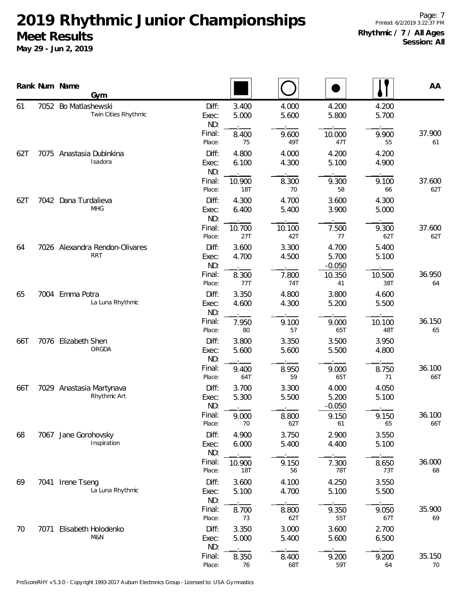|     |      | Rank Num Name<br>Gym                         |                       |                      |                |                            |                | AA            |
|-----|------|----------------------------------------------|-----------------------|----------------------|----------------|----------------------------|----------------|---------------|
| 61  |      | 7052 Bo Matlashewski<br>Twin Cities Rhythmic | Diff:<br>Exec:<br>ND: | 3.400<br>5.000       | 4.000<br>5.600 | 4.200<br>5.800             | 4.200<br>5.700 |               |
|     |      |                                              | Final:<br>Place:      | 8.400<br>75          | 9.600<br>49T   | 10.000<br>47T              | 9.900<br>55    | 37.900<br>61  |
| 62T |      | 7075 Anastasia Dubinkina<br>Isadora          | Diff:<br>Exec:<br>ND: | 4.800<br>6.100       | 4.000<br>4.300 | 4.200<br>5.100             | 4.200<br>4.900 |               |
|     |      |                                              | Final:<br>Place:      | 10.900<br><b>18T</b> | 8.300<br>70    | 9.300<br>58                | 9.100<br>66    | 37.600<br>62T |
| 62T |      | 7042 Dana Turdalieva<br><b>MHG</b>           | Diff:<br>Exec:<br>ND: | 4.300<br>6.400       | 4.700<br>5.400 | 3.600<br>3.900             | 4.300<br>5.000 |               |
|     |      |                                              | Final:<br>Place:      | 10.700<br>27T        | 10.100<br>42T  | 7.500<br>77                | 9.300<br>62T   | 37.600<br>62T |
| 64  |      | 7026 Alexandra Rendon-Olivares<br><b>RRT</b> | Diff:<br>Exec:<br>ND: | 3.600<br>4.700       | 3.300<br>4.500 | 4.700<br>5.700<br>$-0.050$ | 5.400<br>5.100 |               |
|     |      |                                              | Final:<br>Place:      | 8.300<br>77T         | 7.800<br>74T   | 10.350<br>41               | 10.500<br>38T  | 36.950<br>64  |
| 65  |      | 7004 Emma Potra<br>La Luna Rhythmic          | Diff:<br>Exec:<br>ND: | 3.350<br>4.600       | 4.800<br>4.300 | 3.800<br>5.200             | 4.600<br>5.500 |               |
|     |      |                                              | Final:<br>Place:      | 7.950<br>80          | 9.100<br>57    | 9.000<br>65T               | 10.100<br>48T  | 36.150<br>65  |
| 66T |      | 7076 Elizabeth Shen<br>ORGDA                 | Diff:<br>Exec:<br>ND: | 3.800<br>5.600       | 3.350<br>5.600 | 3.500<br>5.500             | 3.950<br>4.800 |               |
|     |      |                                              | Final:<br>Place:      | 9.400<br>64T         | 8.950<br>59    | 9.000<br>65T               | 8.750<br>71    | 36.100<br>66T |
| 66T |      | 7029 Anastasia Martynava<br>Rhythmic Art     | Diff:<br>Exec:<br>ND: | 3.700<br>5.300       | 3.300<br>5.500 | 4.000<br>5.200<br>$-0.050$ | 4.050<br>5.100 |               |
|     |      |                                              | Final:<br>Place:      | 9.000<br>70          | 8.800<br>62T   | 9.150<br>61                | 9.150<br>65    | 36.100<br>66T |
| 68  |      | 7067 Jane Gorohovsky<br>Inspiration          | Diff:<br>Exec:<br>ND: | 4.900<br>6.000       | 3.750<br>5.400 | 2.900<br>4.400             | 3.550<br>5.100 |               |
|     |      |                                              | Final:<br>Place:      | 10.900<br><b>18T</b> | 9.150<br>56    | 7.300<br>78T               | 8.650<br>73T   | 36.000<br>68  |
| 69  |      | 7041 Irene Tseng<br>La Luna Rhythmic         | Diff:<br>Exec:<br>ND: | 3.600<br>5.100       | 4.100<br>4.700 | 4.250<br>5.100             | 3.550<br>5.500 |               |
|     |      |                                              | Final:<br>Place:      | 8.700<br>73          | 8.800<br>62T   | 9.350<br>55T               | 9.050<br>67T   | 35.900<br>69  |
| 70  | 7071 | Elisabeth Holodenko<br>M&N                   | Diff:<br>Exec:<br>ND: | 3.350<br>5.000       | 3.000<br>5.400 | 3.600<br>5.600             | 2.700<br>6.500 |               |
|     |      |                                              | Final:<br>Place:      | 8.350<br>76          | 8.400<br>68T   | 9.200<br>59T               | 9.200<br>64    | 35.150<br>70  |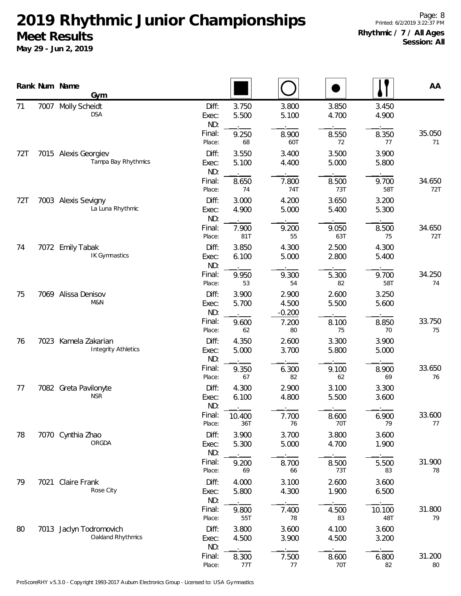|     |      | Rank Num Name<br><b>Gym</b>                        |                       |                |                            |                |                | AA            |
|-----|------|----------------------------------------------------|-----------------------|----------------|----------------------------|----------------|----------------|---------------|
| 71  | 7007 | <b>Molly Scheidt</b><br><b>DSA</b>                 | Diff:<br>Exec:<br>ND: | 3.750<br>5.500 | 3.800<br>5.100             | 3.850<br>4.700 | 3.450<br>4.900 |               |
|     |      |                                                    | Final:<br>Place:      | 9.250<br>68    | 8.900<br>60T               | 8.550<br>72    | 8.350<br>77    | 35.050<br>71  |
| 72T |      | 7015 Alexis Georgiev<br>Tampa Bay Rhythmics        | Diff:<br>Exec:<br>ND: | 3.550<br>5.100 | 3.400<br>4.400             | 3.500<br>5.000 | 3.900<br>5.800 |               |
|     |      |                                                    | Final:<br>Place:      | 8.650<br>74    | 7.800<br>74T               | 8.500<br>73T   | 9.700<br>58T   | 34.650<br>72T |
| 72T |      | 7003 Alexis Sevigny<br>La Luna Rhythmic            | Diff:<br>Exec:<br>ND: | 3.000<br>4.900 | 4.200<br>5.000             | 3.650<br>5.400 | 3.200<br>5.300 |               |
|     |      |                                                    | Final:<br>Place:      | 7.900<br>81T   | 9.200<br>55                | 9.050<br>63T   | 8.500<br>75    | 34.650<br>72T |
| 74  |      | 7072 Emily Tabak<br><b>IK Gymnastics</b>           | Diff:<br>Exec:<br>ND: | 3.850<br>6.100 | 4.300<br>5.000             | 2.500<br>2.800 | 4.300<br>5.400 |               |
|     |      |                                                    | Final:<br>Place:      | 9.950<br>53    | 9.300<br>54                | 5.300<br>82    | 9.700<br>58T   | 34.250<br>74  |
| 75  |      | 7069 Alissa Denisov<br>M&N                         | Diff:<br>Exec:<br>ND: | 3.900<br>5.700 | 2.900<br>4.500<br>$-0.200$ | 2.600<br>5.500 | 3.250<br>5.600 |               |
|     |      |                                                    | Final:<br>Place:      | 9.600<br>62    | 7.200<br>80                | 8.100<br>75    | 8.850<br>70    | 33.750<br>75  |
| 76  |      | 7023 Kamela Zakarian<br><b>Integrity Athletics</b> | Diff:<br>Exec:<br>ND: | 4.350<br>5.000 | 2.600<br>3.700             | 3.300<br>5.800 | 3.900<br>5.000 |               |
|     |      |                                                    | Final:<br>Place:      | 9.350<br>67    | 6.300<br>82                | 9.100<br>62    | 8.900<br>69    | 33.650<br>76  |
| 77  |      | 7082 Greta Pavilonyte<br><b>NSR</b>                | Diff:<br>Exec:<br>ND: | 4.300<br>6.100 | 2.900<br>4.800             | 3.100<br>5.500 | 3.300<br>3.600 |               |
|     |      |                                                    | Final:<br>Place:      | 10.400<br>36T  | 7.700<br>76                | 8.600<br>70T   | 6.900<br>79    | 33.600<br>77  |
| 78  |      | 7070 Cynthia Zhao<br>ORGDA                         | Diff:<br>Exec:<br>ND: | 3.900<br>5.300 | 3.700<br>5.000             | 3.800<br>4.700 | 3.600<br>1.900 |               |
|     |      |                                                    | Final:<br>Place:      | 9.200<br>69    | 8.700<br>66                | 8.500<br>73T   | 5.500<br>83    | 31.900<br>78  |
| 79  | 7021 | Claire Frank<br>Rose City                          | Diff:<br>Exec:<br>ND: | 4.000<br>5.800 | 3.100<br>4.300             | 2.600<br>1.900 | 3.600<br>6.500 |               |
|     |      |                                                    | Final:<br>Place:      | 9.800<br>55T   | 7.400<br>78                | 4.500<br>83    | 10.100<br>48T  | 31.800<br>79  |
| 80  |      | 7013 Jaclyn Todromovich<br>Oakland Rhythmics       | Diff:<br>Exec:<br>ND: | 3.800<br>4.500 | 3.600<br>3.900             | 4.100<br>4.500 | 3.600<br>3.200 |               |
|     |      |                                                    | Final:<br>Place:      | 8.300<br>77T   | 7.500<br>77                | 8.600<br>70T   | 6.800<br>82    | 31.200<br>80  |